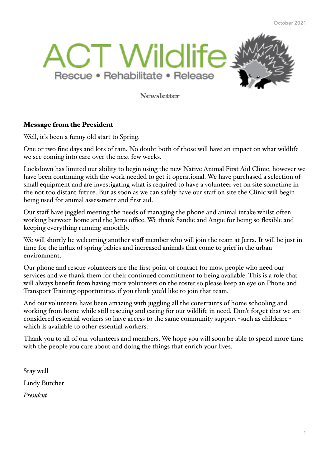

### **Newsletter**

### Message from the President

Well, it's been a funny old start to Spring.

One or two fine days and lots of rain. No doubt both of those will have an impact on what wildlife we see coming into care over the next few weeks.

Lockdown has limited our ability to begin using the new Native Animal First Aid Clinic, however we have been continuing with the work needed to get it operational. We have purchased a selection of small equipment and are investigating what is required to have a volunteer vet on site sometime in the not too distant future. But as soon as we can safely have our staff on site the Clinic will begin being used for animal assessment and first aid.

Our staff have juggled meeting the needs of managing the phone and animal intake whilst often working between home and the Jerra office. We thank Sandie and Angie for being so flexible and keeping everything running smoothly.

We will shortly be welcoming another staff member who will join the team at Jerra. It will be just in time for the influx of spring babies and increased animals that come to grief in the urban environment.

Our phone and rescue volunteers are the first point of contact for most people who need our services and we thank them for their continued commitment to being available. This is a role that will always benefit from having more volunteers on the roster so please keep an eye on Phone and Transport Training opportunities if you think you'd like to join that team.

And our volunteers have been amazing with juggling all the constraints of home schooling and working from home while still rescuing and caring for our wildlife in need. Don't forget that we are considered essential workers so have access to the same community support -such as childcare which is available to other essential workers.

Thank you to all of our volunteers and members. We hope you will soon be able to spend more time with the people you care about and doing the things that enrich your lives.

Stay well Lindy Butcher *President*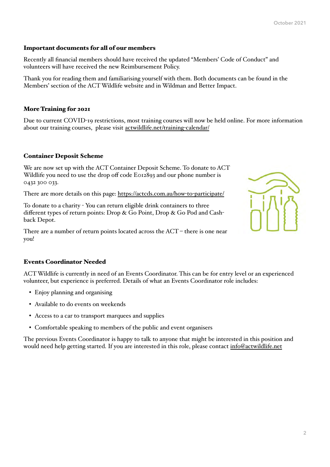#### Important documents for all of our members

Recently all financial members should have received the updated "Members' Code of Conduct" and volunteers will have received the new Reimbursement Policy.

Thank you for reading them and familiarising yourself with them. Both documents can be found in the Members' section of the ACT Wildlife website and in Wildman and Better Impact.

#### More Training for 2021

Due to current COVID-19 restrictions, most training courses will now be held online. For more information about our training courses, please visit [actwildlife.net/training](http://actwildlife.net/training-calendar/)-calendar/

#### Container Deposit Scheme

We are now set up with the ACT Container Deposit Scheme. To donate to ACT Wildlife you need to use the drop off code E012893 and our phone number is 0432 300 033.

There are more details on this page: [https://actcds.com.au/how](https://actcds.com.au/how-to-participate/)-to-participate/

To donate to a charity - You can return eligible drink containers to three different types of return points: Drop & Go Point, Drop & Go Pod and Cashback Depot.

There are a number of return points located across the  $ACT$  – there is one near you!



#### Events Coordinator Needed

ACT Wildlife is currently in need of an Events Coordinator. This can be for entry level or an experienced volunteer, but experience is preferred. Details of what an Events Coordinator role includes:

- Enjoy planning and organising
- Available to do events on weekends
- Access to a car to transport marquees and supplies
- Comfortable speaking to members of the public and event organisers

The previous Events Coordinator is happy to talk to anyone that might be interested in this position and would need help getting started. If you are interested in this role, please contact [info@actwildlife.net](mailto:info@actwildlife.net)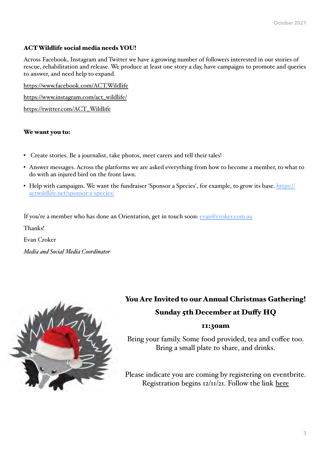### ACT Wildlife social media needs YOU!

Across Facebook, Instagram and Twitter we have a growing number of followers interested in our stories of rescue, rehabilitation and release. We produce at least one story a day, have campaigns to promote and queries to answer, and need help to expand.

<https://www.facebook.com/ACT.Wildlife>

[https://www.instagram.com/act\\_wildlife/](https://www.instagram.com/act_wildlife/)

[https://twitter.com/ACT\\_Wildlife](https://twitter.com/ACT_Wildlife)

#### We want you to:

- Create stories. Be a journalist, take photos, meet carers and tell their tales!
- Answer messages. Across the platforms we are asked everything from how to become a member, to what to do with an injured bird on the front lawn.
- Help with campaigns. We want the fundraiser 'Sponsor a Species', for example, to grow its base. [https://](https://actwildlife.net/sponsor-a-species/) [actwildlife.net/sponsor](https://actwildlife.net/sponsor-a-species/)-a-species/

If you're a member who has done an Orientation, get in touch soon: [evan@croker.com.au](mailto:evan@croker.com.au)

Thanks!

Evan Croker

*Media and Social Media Coordinator*



## You Are Invited to our Annual Christmas Gathering! Sunday 5th December at Duffy HQ

### 11:30am

Bring your family. Some food provided, tea and coffee too. Bring a small plate to share, and drinks.

Please indicate you are coming by registering on eventbrite. Registration begins 12/11/21. Follow the link [here](https://www.eventbrite.com.au/e/act-wildlife-christmas-gathering-tickets-192545226957)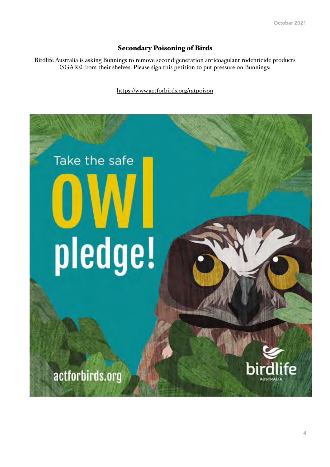### Secondary Poisoning of Birds

Birdlife Australia is asking Bunnings to remove second-generation anticoagulant rodenticide products (SGARs) from their shelves. Please sign this petition to put pressure on Bunnings:

#### [https://www.actforbirds.org/ratpoison](https://actwildlife.us14.list-manage.com/track/click?u=c99d87be8508f805f552cf825&id=0e0cddef21&e=cfd7c5d30e)

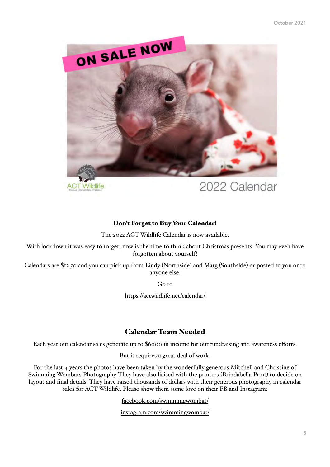

# 2022 Calendar

### Don't Forget to Buy Your Calendar!

Wildlife

The 2022 ACT Wildlife Calendar is now available.

With lockdown it was easy to forget, now is the time to think about Christmas presents. You may even have forgotten about yourself!

Calendars are \$12.50 and you can pick up from Lindy (Northside) and Marg (Southside) or posted to you or to anyone else.

Go to

[https://actwildlife.net/calendar/](https://actwildlife.us14.list-manage.com/track/click?u=c99d87be8508f805f552cf825&id=300e7ef9d9&e=cfd7c5d30e)

### Calendar Team Needed

Each year our calendar sales generate up to \$6000 in income for our fundraising and awareness efforts.

But it requires a great deal of work.

For the last 4 years the photos have been taken by the wonderfully generous Mitchell and Christine of Swimming Wombats Photography. They have also liaised with the printers (Brindabella Print) to decide on layout and final details. They have raised thousands of dollars with their generous photography in calendar sales for ACT Wildlife. Please show them some love on their FB and Instagram:

[facebook.com/swimmingwombat/](http://facebook.com/swimmingwombat/)

[instagram.com/swimmingwombat/](http://instagram.com/swimmingwombat/)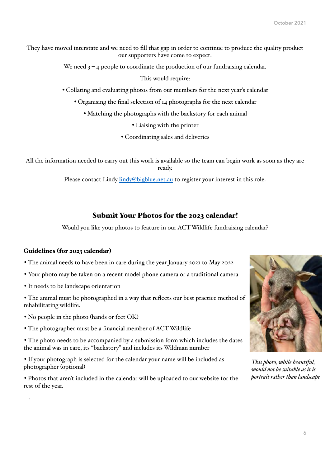They have moved interstate and we need to fill that gap in order to continue to produce the quality product our supporters have come to expect.

We need  $3 - 4$  people to coordinate the production of our fundraising calendar.

This would require:

• Collating and evaluating photos from our members for the next year's calendar

• Organising the final selection of 14 photographs for the next calendar

• Matching the photographs with the backstory for each animal

• Liaising with the printer

• Coordinating sales and deliveries

All the information needed to carry out this work is available so the team can begin work as soon as they are ready.

Please contact Lindy [lindy@bigblue.net.au](mailto:lindy@bigblue.net.au) to register your interest in this role.

#### Submit Your Photos for the 2023 calendar!

Would you like your photos to feature in our ACT Wildlife fundraising calendar?

#### Guidelines (for 2023 calendar)

• The animal needs to have been in care during the year January 2021 to May 2022

- Your photo may be taken on a recent model phone camera or a traditional camera
- It needs to be landscape orientation

.

• The animal must be photographed in a way that reflects our best practice method of rehabilitating wildlife.

• No people in the photo (hands or feet OK)

• The photographer must be a financial member of ACT Wildlife

• The photo needs to be accompanied by a submission form which includes the dates the animal was in care, its "backstory" and includes its Wildman number

• If your photograph is selected for the calendar your name will be included as photographer (optional)

• Photos that aren't included in the calendar will be uploaded to our website for the rest of the year.



*This photo, while beautiful, would not be suitable as it is portrait rather than landscape*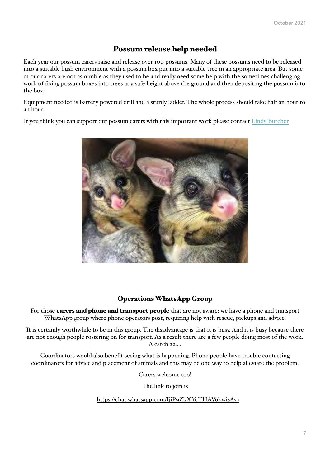### Possum release help needed

Each year our possum carers raise and release over 100 possums. Many of these possums need to be released into a suitable bush environment with a possum box put into a suitable tree in an appropriate area. But some of our carers are not as nimble as they used to be and really need some help with the sometimes challenging work of fixing possum boxes into trees at a safe height above the ground and then depositing the possum into the box.

Equipment needed is battery powered drill and a sturdy ladder. The whole process should take half an hour to an hour.

If you think you can support our possum carers with this important work please contact [Lindy Butcher](mailto:president@actwildlife.net?subject=possum%20release)



#### Operations WhatsApp Group

For those **carers and phone and transport people** that are not aware: we have a phone and transport WhatsApp group where phone operators post, requiring help with rescue, pickups and advice.

It is certainly worthwhile to be in this group. The disadvantage is that it is busy. And it is busy because there are not enough people rostering on for transport. As a result there are a few people doing most of the work. A catch 22....

Coordinators would also benefit seeing what is happening. Phone people have trouble contacting coordinators for advice and placement of animals and this may be one way to help alleviate the problem.

Carers welcome too!

The link to join is

[https://chat.whatsapp.com/IjiP9ZkXYcTHAVokwisAy7](https://actwildlife.us14.list-manage.com/track/click?u=c99d87be8508f805f552cf825&id=131dea8591&e=cfd7c5d30e)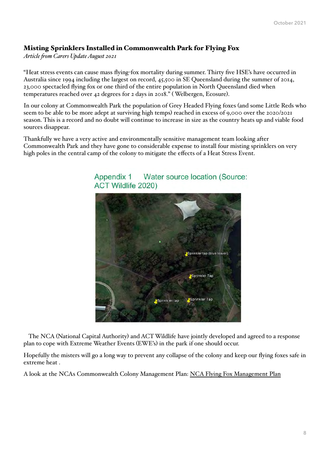### Misting Sprinklers Installed in Commonwealth Park for Flying Fox

*Article from Carers Update August 2021*

"Heat stress events can cause mass flying-fox mortality during summer. Thirty five HSE's have occurred in Australia since 1994 including the largest on record, 45,500 in SE Queensland during the summer of 2014, 23,000 spectacled flying fox or one third of the entire population in North Queensland died when temperatures reached over 42 degrees for 2 days in 2018." ( Welbergen, Ecosure).

In our colony at Commonwealth Park the population of Grey Headed Flying foxes (and some Little Reds who seem to be able to be more adept at surviving high temps) reached in excess of 9,000 over the 2020/2021 season. This is a record and no doubt will continue to increase in size as the country heats up and viable food sources disappear.

Thankfully we have a very active and environmentally sensitive management team looking after Commonwealth Park and they have gone to considerable expense to install four misting sprinklers on very high poles in the central camp of the colony to mitigate the effects of a Heat Stress Event.



Appendix 1 Water source location (Source: ACT Wildlife 2020)

The NCA (National Capital Authority) and ACT Wildlife have jointly developed and agreed to a response plan to cope with Extreme Weather Events (EWE's) in the park if one should occur.

Hopefully the misters will go a long way to prevent any collapse of the colony and keep our flying foxes safe in extreme heat .

A look at the NCAs Commonwealth Colony Management Plan: [NCA Flying Fox Management Plan](https://www.nca.gov.au/sites/default/files/Commonwealth%20Park%20Grey%20-%20Headed%20Flying%20-%20Fox%20Management%20Plan.PDF)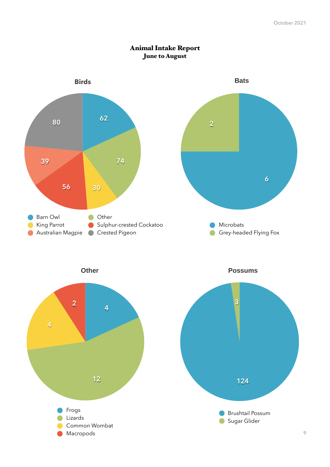

### Animal Intake Report June to August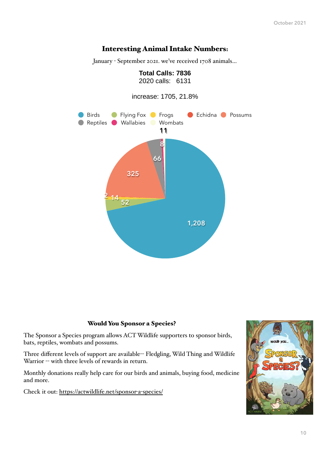### Interesting Animal Intake Numbers:

January - September 2021. we've received 1708 animals…

**Total Calls: 7836**



#### Would You Sponsor a Species?

The Sponsor a Species program allows ACT Wildlife supporters to sponsor birds, bats, reptiles, wombats and possums.

Three different levels of support are available-- Fledgling, Wild Thing and Wildlife Warrior -- with three levels of rewards in return.

Monthly donations really help care for our birds and animals, buying food, medicine and more.

Check it out: [https://actwildlife.net/sponsor](https://actwildlife.net/sponsor-a-species/)-a-species/

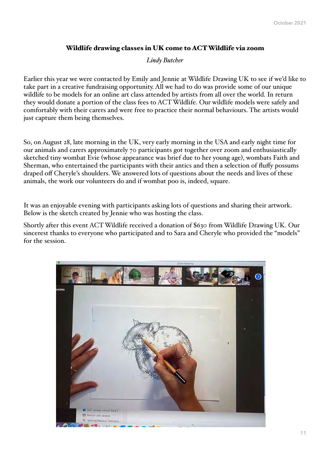### Wildlife drawing classes in UK come to ACT Wildlife via zoom

*Lindy Butcher* 

Earlier this year we were contacted by Emily and Jennie at Wildlife Drawing UK to see if we'd like to take part in a creative fundraising opportunity. All we had to do was provide some of our unique wildlife to be models for an online art class attended by artists from all over the world. In return they would donate a portion of the class fees to ACT Wildlife. Our wildlife models were safely and comfortably with their carers and were free to practice their normal behaviours. The artists would just capture them being themselves.

So, on August 28, late morning in the UK, very early morning in the USA and early night time for our animals and carers approximately 70 participants got together over zoom and enthusiastically sketched tiny wombat Evie (whose appearance was brief due to her young age), wombats Faith and Sherman, who entertained the participants with their antics and then a selection of fluffy possums draped off Cheryle's shoulders. We answered lots of questions about the needs and lives of these animals, the work our volunteers do and if wombat poo is, indeed, square.

It was an enjoyable evening with participants asking lots of questions and sharing their artwork. Below is the sketch created by Jennie who was hosting the class.

Shortly after this event ACT Wildlife received a donation of \$630 from Wildlife Drawing UK. Our sincerest thanks to everyone who participated and to Sara and Cheryle who provided the "models" for the session.

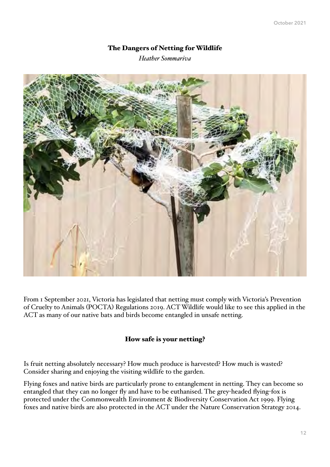### The Dangers of Netting for Wildlife

*Heather Sommariva*



From 1 September 2021, Victoria has legislated that netting must comply with Victoria's Prevention of Cruelty to Animals (POCTA) Regulations 2019. ACT Wildlife would like to see this applied in the ACT as many of our native bats and birds become entangled in unsafe netting.

### How safe is your netting?

Is fruit netting absolutely necessary? How much produce is harvested? How much is wasted? Consider sharing and enjoying the visiting wildlife to the garden.

Flying foxes and native birds are particularly prone to entanglement in netting. They can become so entangled that they can no longer fly and have to be euthanised. The grey-headed flying-fox is protected under the Commonwealth Environment & Biodiversity Conservation Act 1999. Flying foxes and native birds are also protected in the ACT under the Nature Conservation Strategy 2014.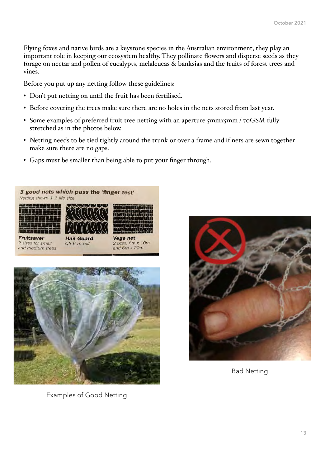Flying foxes and native birds are a keystone species in the Australian environment, they play an important role in keeping our ecosystem healthy. They pollinate flowers and disperse seeds as they forage on nectar and pollen of eucalypts, melaleucas & banksias and the fruits of forest trees and vines.

Before you put up any netting follow these guidelines:

- Don't put netting on until the fruit has been fertilised.
- Before covering the trees make sure there are no holes in the nets stored from last year.
- Some examples of preferred fruit tree netting with an aperture 5mmx5mm / 70GSM fully stretched as in the photos below.
- Netting needs to be tied tightly around the trunk or over a frame and if nets are sewn together make sure there are no gaps.
- Gaps must be smaller than being able to put your finger through.





Bad Netting

Examples of Good Netting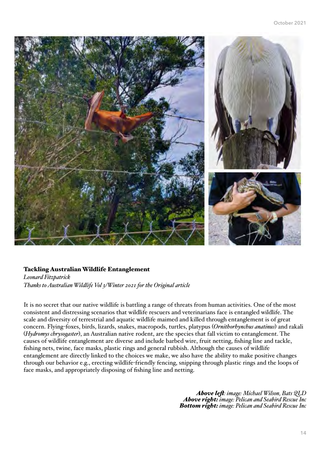

#### Tackling Australian Wildlife Entanglement

*Leonard Fitzpatrick Thanks to Australian Wildlife Vol 3/Winter 2021 for the Original article*

It is no secret that our native wildlife is battling a range of threats from human activities. One of the most consistent and distressing scenarios that wildlife rescuers and veterinarians face is entangled wildlife. The scale and diversity of terrestrial and aquatic wildlife maimed and killed through entanglement is of great concern. Flying-foxes, birds, lizards, snakes, macropods, turtles, platypus (*Ornithorhynchus anatinus*) and rakali (*Hydromys chrysogaster*), an Australian native rodent, are the species that fall victim to entanglement. The causes of wildlife entanglement are diverse and include barbed wire, fruit netting, fishing line and tackle, fishing nets, twine, face masks, plastic rings and general rubbish. Although the causes of wildlife entanglement are directly linked to the choices we make, we also have the ability to make positive changes through our behavior e.g., erecting wildlife-friendly fencing, snipping through plastic rings and the loops of face masks, and appropriately disposing of fishing line and netting.

> *Above lef: image: Michael Wilson, Bats QLD Above right: image: Pelican and Seabird Rescue Inc Bottom right: image: Pelican and Seabird Rescue Inc*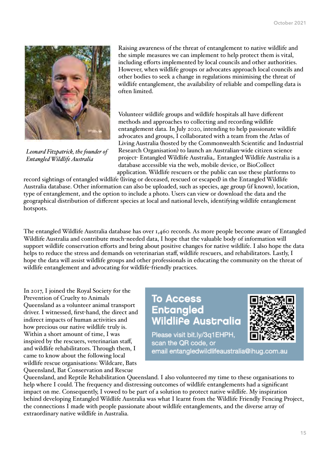

*Leonard Fitzpatrick, the founder of Entangled Wildlife Australia*

Raising awareness of the threat of entanglement to native wildlife and the simple measures we can implement to help protect them is vital, including efforts implemented by local councils and other authorities. However, when wildlife groups or advocates approach local councils and other bodies to seek a change in regulations minimising the threat of wildlife entanglement, the availability of reliable and compelling data is often limited.

Volunteer wildlife groups and wildlife hospitals all have different methods and approaches to collecting and recording wildlife entanglement data. In July 2020, intending to help passionate wildlife advocates and groups, I collaborated with a team from the Atlas of Living Australia (hosted by the Commonwealth Scientific and Industrial Research Organisation) to launch an Australian-wide citizen science project- Entangled Wildlife Australia,. Entangled Wildlife Australia is a database accessible via the web, mobile device, or BioCollect application. Wildlife rescuers or the public can use these platforms to

record sightings of entangled wildlife (living or deceased, rescued or escaped) in the Entangled Wildlife Australia database. Other information can also be uploaded, such as species, age group (if known), location, type of entanglement, and the option to include a photo. Users can view or download the data and the geographical distribution of different species at local and national levels, identifying wildlife entanglement hotspots.

The entangled Wildlife Australia database has over 1,460 records. As more people become aware of Entangled Wildlife Australia and contribute much-needed data, I hope that the valuable body of information will support wildlife conservation efforts and bring about positive changes for native wildlife. I also hope the data helps to reduce the stress and demands on veterinarian staff, wildlife rescuers, and rehabilitators. Lastly, I hope the data will assist wildlife groups and other professionals in educating the community on the threat of wildlife entanglement and advocating for wildlife-friendly practices.

In 2017, I joined the Royal Society for the Prevention of Cruelty to Animals Queensland as a volunteer animal transport driver. I witnessed, first-hand, the direct and indirect impacts of human activities and how precious our native wildlife truly is. Within a short amount of time, I was inspired by the rescuers, veterinarian staff, and wildlife rehabilitators. Through them, I came to know about the following local wildlife rescue organisations: Wildcare, Bats Queensland, Bat Conservation and Rescue

# **To Access Entangled Wildlife Australia**



Please visit bit.ly/3q1EHPH, scan the QR code, or email entangledwildlifeaustralia@ihug.com.au

Queensland, and Reptile Rehabilitation Queensland. I also volunteered my time to these organisations to help where I could. The frequency and distressing outcomes of wildlife entanglements had a significant impact on me. Consequently, I vowed to be part of a solution to protect native wildlife. My inspiration behind developing Entangled Wildlife Australia was what I learnt from the Wildlife Friendly Fencing Project, the connections I made with people passionate about wildlife entanglements, and the diverse array of extraordinary native wildlife in Australia.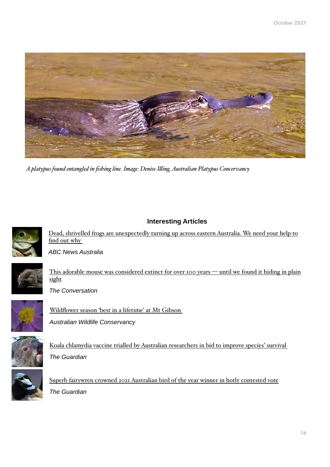

*A platypus found entangled in fishing line. Image: Denise Illing, Australian Platypus Concervancy*

### **Interesting Articles**



[Dead, shrivelled frogs are unexpectedly turning up across eastern Australia. We need your help to](https://www.abc.net.au/news/2021-07-29/dead-shrivelled-frogs-turning-up-eastern-australia-help-find-why/100331042)  [find out why](https://www.abc.net.au/news/2021-07-29/dead-shrivelled-frogs-turning-up-eastern-australia-help-find-why/100331042)

*ABC News Australia* 



[This adorable mouse was considered extinct for over 100 years](https://theconversation.com/this-adorable-mouse-was-considered-extinct-for-over-100-years-until-we-found-it-hiding-in-plain-sight-160930) — until we found it hiding in plain [sight](https://theconversation.com/this-adorable-mouse-was-considered-extinct-for-over-100-years-until-we-found-it-hiding-in-plain-sight-160930)



*The Conversation*

[Wildflower season 'best in a lifetime' at Mt Gibson](https://www.australianwildlife.org/wildflower-season-best-in-a-lifetime-at-mt-gibson/)  *Australian Wildlife Conservancy*



[Koala chlamydia vaccine trialled by Australian researchers in bid to improve species' survival](https://www.theguardian.com/world/2021/oct/15/koala-chlamydia-vaccine-trialled-by-australian-researchers-in-bid-to-improve-species-survival)  *The Guardian*



[Superb fairywren crowned 2021 Australian bird of the year winner in hotly contested vote](https://www.theguardian.com/environment/2021/oct/08/superb-fairywren-crowned-2021-australian-bird-of-the-year-winner-in-hotly-contested-vote) *The Guardian*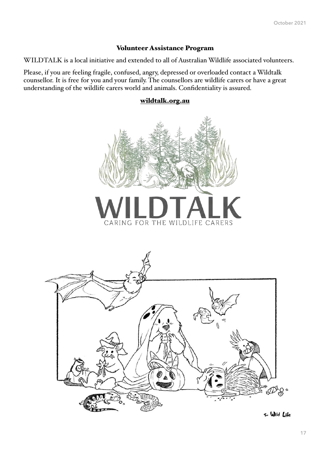### Volunteer Assistance Program

WILDTALK is a local initiative and extended to all of Australian Wildlife associated volunteers.

Please, if you are feeling fragile, confused, angry, depressed or overloaded contact a Wildtalk counsellor. It is free for you and your family. The counsellors are wildlife carers or have a great understanding of the wildlife carers world and animals. Confidentiality is assured.